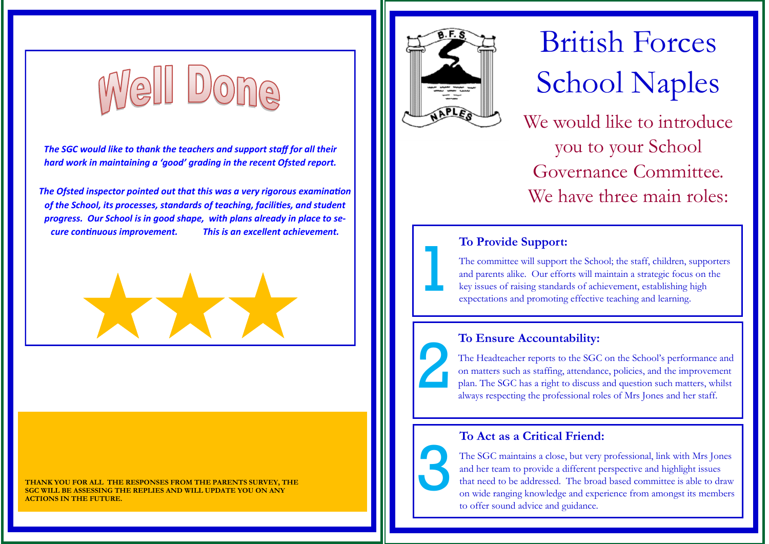

*The SGC would like to thank the teachers and support staff for all their hard work in maintaining a 'good' grading in the recent Ofsted report.*

*The Ofsted inspector pointed out that this was a very rigorous examination of the School, its processes, standards of teaching, facilities, and student progress. Our School is in good shape, with plans already in place to secure continuous improvement. This is an excellent achievement.*



**THANK YOU FOR ALL THE RESPONSES FROM THE PARENTS SURVEY, THE SGC WILL BE ASSESSING THE REPLIES AND WILL UPDATE YOU ON ANY ACTIONS IN THE FUTURE.** 



1

2

3

# British Forces School Naples

We would like to introduce you to your School Governance Committee. We have three main roles:

#### **To Provide Support:**

The committee will support the School; the staff, children, supporters and parents alike. Our efforts will maintain a strategic focus on the key issues of raising standards of achievement, establishing high expectations and promoting effective teaching and learning.

#### **To Ensure Accountability:**

The Headteacher reports to the SGC on the School's performance and on matters such as staffing, attendance, policies, and the improvement plan. The SGC has a right to discuss and question such matters, whilst always respecting the professional roles of Mrs Jones and her staff.

#### **To Act as a Critical Friend:**

The SGC maintains a close, but very professional, link with Mrs Jones and her team to provide a different perspective and highlight issues that need to be addressed. The broad based committee is able to draw on wide ranging knowledge and experience from amongst its members to offer sound advice and guidance.